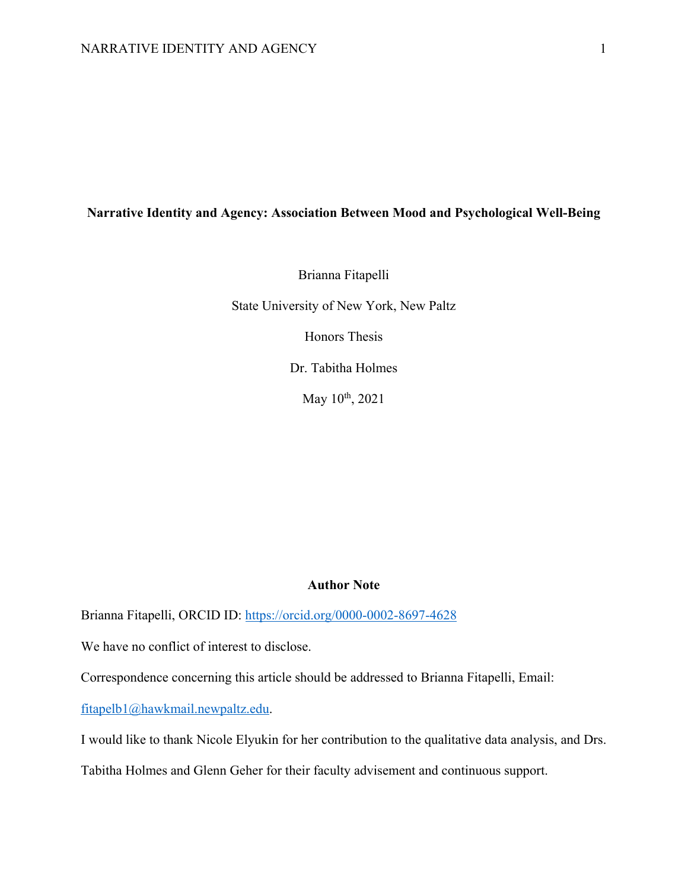# **Narrative Identity and Agency: Association Between Mood and Psychological Well-Being**

Brianna Fitapelli

State University of New York, New Paltz

Honors Thesis

Dr. Tabitha Holmes

May 10<sup>th</sup>, 2021

#### **Author Note**

Brianna Fitapelli, ORCID ID: https://orcid.org/0000-0002-8697-4628

We have no conflict of interest to disclose.

Correspondence concerning this article should be addressed to Brianna Fitapelli, Email:

fitapelb1@hawkmail.newpaltz.edu.

I would like to thank Nicole Elyukin for her contribution to the qualitative data analysis, and Drs.

Tabitha Holmes and Glenn Geher for their faculty advisement and continuous support.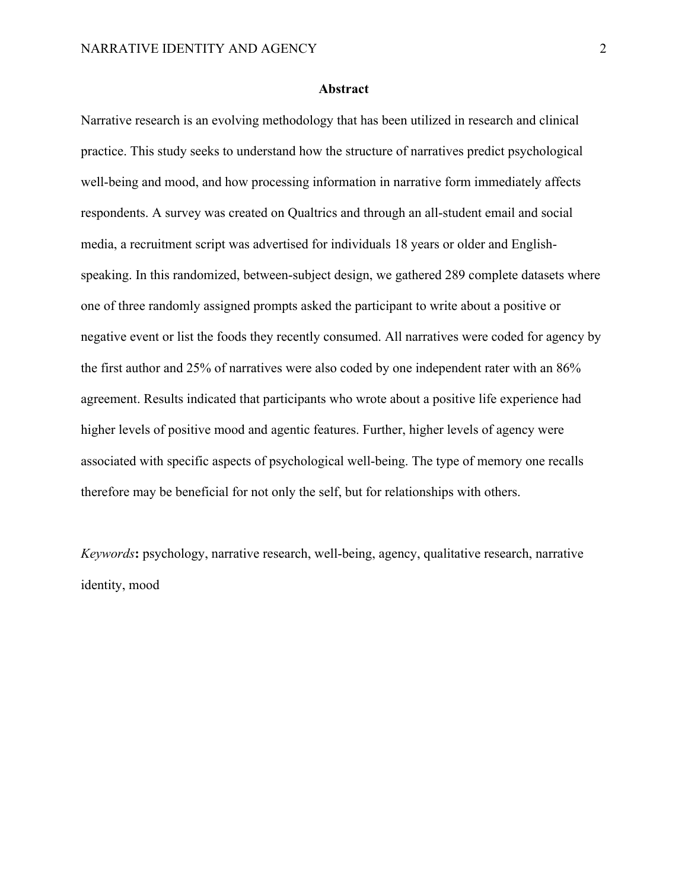#### **Abstract**

Narrative research is an evolving methodology that has been utilized in research and clinical practice. This study seeks to understand how the structure of narratives predict psychological well-being and mood, and how processing information in narrative form immediately affects respondents. A survey was created on Qualtrics and through an all-student email and social media, a recruitment script was advertised for individuals 18 years or older and Englishspeaking. In this randomized, between-subject design, we gathered 289 complete datasets where one of three randomly assigned prompts asked the participant to write about a positive or negative event or list the foods they recently consumed. All narratives were coded for agency by the first author and 25% of narratives were also coded by one independent rater with an 86% agreement. Results indicated that participants who wrote about a positive life experience had higher levels of positive mood and agentic features. Further, higher levels of agency were associated with specific aspects of psychological well-being. The type of memory one recalls therefore may be beneficial for not only the self, but for relationships with others.

*Keywords***:** psychology, narrative research, well-being, agency, qualitative research, narrative identity, mood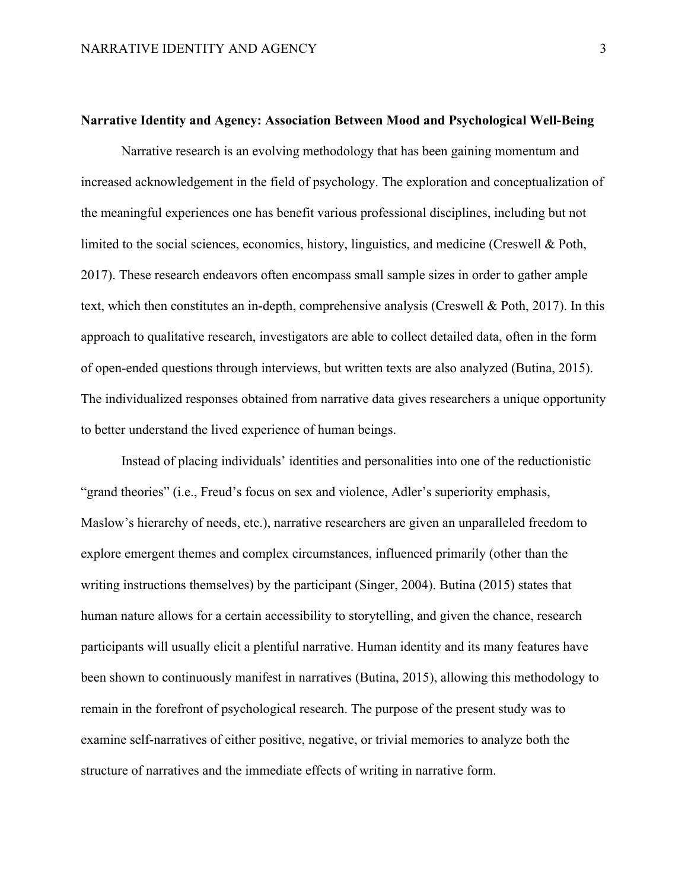#### **Narrative Identity and Agency: Association Between Mood and Psychological Well-Being**

Narrative research is an evolving methodology that has been gaining momentum and increased acknowledgement in the field of psychology. The exploration and conceptualization of the meaningful experiences one has benefit various professional disciplines, including but not limited to the social sciences, economics, history, linguistics, and medicine (Creswell & Poth, 2017). These research endeavors often encompass small sample sizes in order to gather ample text, which then constitutes an in-depth, comprehensive analysis (Creswell & Poth, 2017). In this approach to qualitative research, investigators are able to collect detailed data, often in the form of open-ended questions through interviews, but written texts are also analyzed (Butina, 2015). The individualized responses obtained from narrative data gives researchers a unique opportunity to better understand the lived experience of human beings.

Instead of placing individuals' identities and personalities into one of the reductionistic "grand theories" (i.e., Freud's focus on sex and violence, Adler's superiority emphasis, Maslow's hierarchy of needs, etc.), narrative researchers are given an unparalleled freedom to explore emergent themes and complex circumstances, influenced primarily (other than the writing instructions themselves) by the participant (Singer, 2004). Butina (2015) states that human nature allows for a certain accessibility to storytelling, and given the chance, research participants will usually elicit a plentiful narrative. Human identity and its many features have been shown to continuously manifest in narratives (Butina, 2015), allowing this methodology to remain in the forefront of psychological research. The purpose of the present study was to examine self-narratives of either positive, negative, or trivial memories to analyze both the structure of narratives and the immediate effects of writing in narrative form.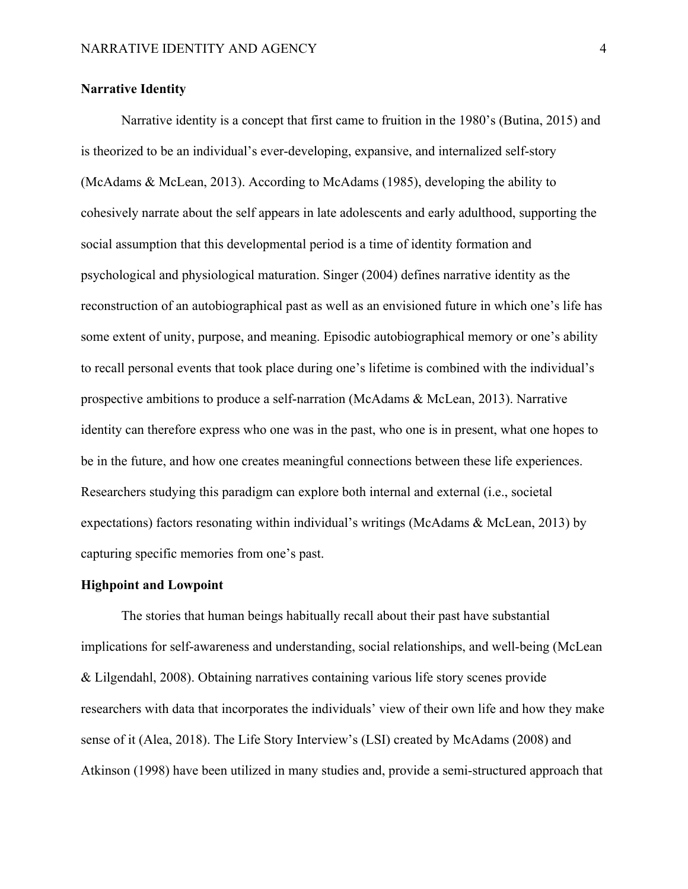# **Narrative Identity**

Narrative identity is a concept that first came to fruition in the 1980's (Butina, 2015) and is theorized to be an individual's ever-developing, expansive, and internalized self-story (McAdams & McLean, 2013). According to McAdams (1985), developing the ability to cohesively narrate about the self appears in late adolescents and early adulthood, supporting the social assumption that this developmental period is a time of identity formation and psychological and physiological maturation. Singer (2004) defines narrative identity as the reconstruction of an autobiographical past as well as an envisioned future in which one's life has some extent of unity, purpose, and meaning. Episodic autobiographical memory or one's ability to recall personal events that took place during one's lifetime is combined with the individual's prospective ambitions to produce a self-narration (McAdams & McLean, 2013). Narrative identity can therefore express who one was in the past, who one is in present, what one hopes to be in the future, and how one creates meaningful connections between these life experiences. Researchers studying this paradigm can explore both internal and external (i.e., societal expectations) factors resonating within individual's writings (McAdams & McLean, 2013) by capturing specific memories from one's past.

#### **Highpoint and Lowpoint**

The stories that human beings habitually recall about their past have substantial implications for self-awareness and understanding, social relationships, and well-being (McLean & Lilgendahl, 2008). Obtaining narratives containing various life story scenes provide researchers with data that incorporates the individuals' view of their own life and how they make sense of it (Alea, 2018). The Life Story Interview's (LSI) created by McAdams (2008) and Atkinson (1998) have been utilized in many studies and, provide a semi-structured approach that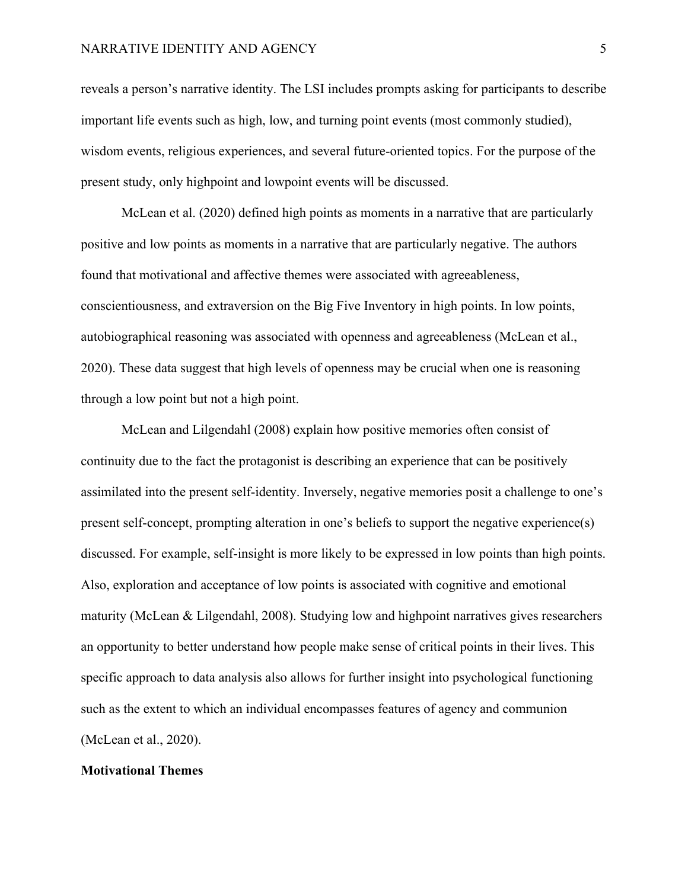## NARRATIVE IDENTITY AND AGENCY 5

reveals a person's narrative identity. The LSI includes prompts asking for participants to describe important life events such as high, low, and turning point events (most commonly studied), wisdom events, religious experiences, and several future-oriented topics. For the purpose of the present study, only highpoint and lowpoint events will be discussed.

McLean et al. (2020) defined high points as moments in a narrative that are particularly positive and low points as moments in a narrative that are particularly negative. The authors found that motivational and affective themes were associated with agreeableness, conscientiousness, and extraversion on the Big Five Inventory in high points. In low points, autobiographical reasoning was associated with openness and agreeableness (McLean et al., 2020). These data suggest that high levels of openness may be crucial when one is reasoning through a low point but not a high point.

McLean and Lilgendahl (2008) explain how positive memories often consist of continuity due to the fact the protagonist is describing an experience that can be positively assimilated into the present self-identity. Inversely, negative memories posit a challenge to one's present self-concept, prompting alteration in one's beliefs to support the negative experience(s) discussed. For example, self-insight is more likely to be expressed in low points than high points. Also, exploration and acceptance of low points is associated with cognitive and emotional maturity (McLean & Lilgendahl, 2008). Studying low and highpoint narratives gives researchers an opportunity to better understand how people make sense of critical points in their lives. This specific approach to data analysis also allows for further insight into psychological functioning such as the extent to which an individual encompasses features of agency and communion (McLean et al., 2020).

#### **Motivational Themes**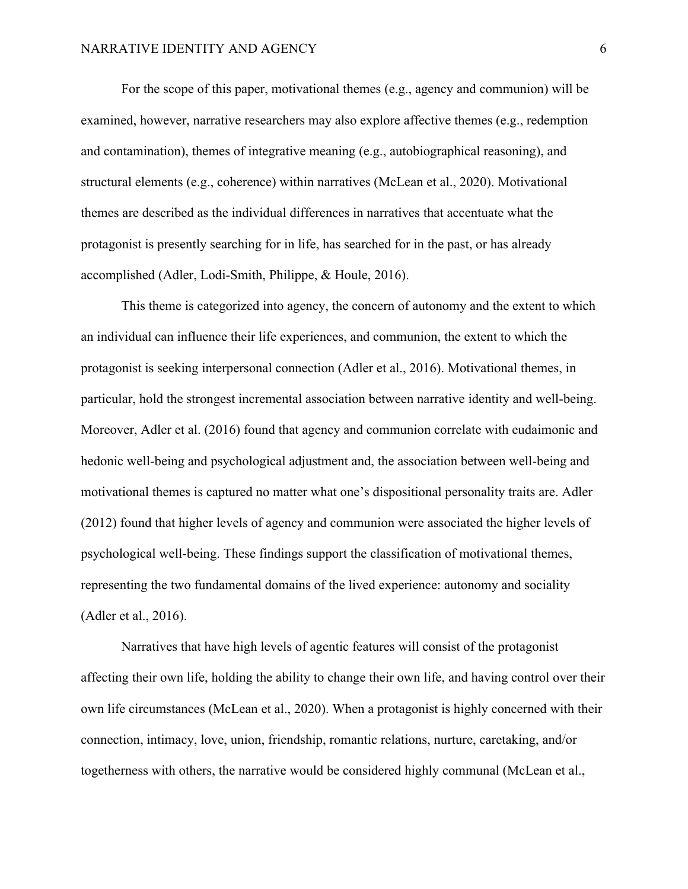For the scope of this paper, motivational themes (e.g., agency and communion) will be examined, however, narrative researchers may also explore affective themes (e.g., redemption and contamination), themes of integrative meaning (e.g., autobiographical reasoning), and structural elements (e.g., coherence) within narratives (McLean et al., 2020). Motivational themes are described as the individual differences in narratives that accentuate what the protagonist is presently searching for in life, has searched for in the past, or has already accomplished (Adler, Lodi-Smith, Philippe, & Houle, 2016).

This theme is categorized into agency, the concern of autonomy and the extent to which an individual can influence their life experiences, and communion, the extent to which the protagonist is seeking interpersonal connection (Adler et al., 2016). Motivational themes, in particular, hold the strongest incremental association between narrative identity and well-being. Moreover, Adler et al. (2016) found that agency and communion correlate with eudaimonic and hedonic well-being and psychological adjustment and, the association between well-being and motivational themes is captured no matter what one's dispositional personality traits are. Adler (2012) found that higher levels of agency and communion were associated the higher levels of psychological well-being. These findings support the classification of motivational themes, representing the two fundamental domains of the lived experience: autonomy and sociality (Adler et al., 2016).

Narratives that have high levels of agentic features will consist of the protagonist affecting their own life, holding the ability to change their own life, and having control over their own life circumstances (McLean et al., 2020). When a protagonist is highly concerned with their connection, intimacy, love, union, friendship, romantic relations, nurture, caretaking, and/or togetherness with others, the narrative would be considered highly communal (McLean et al.,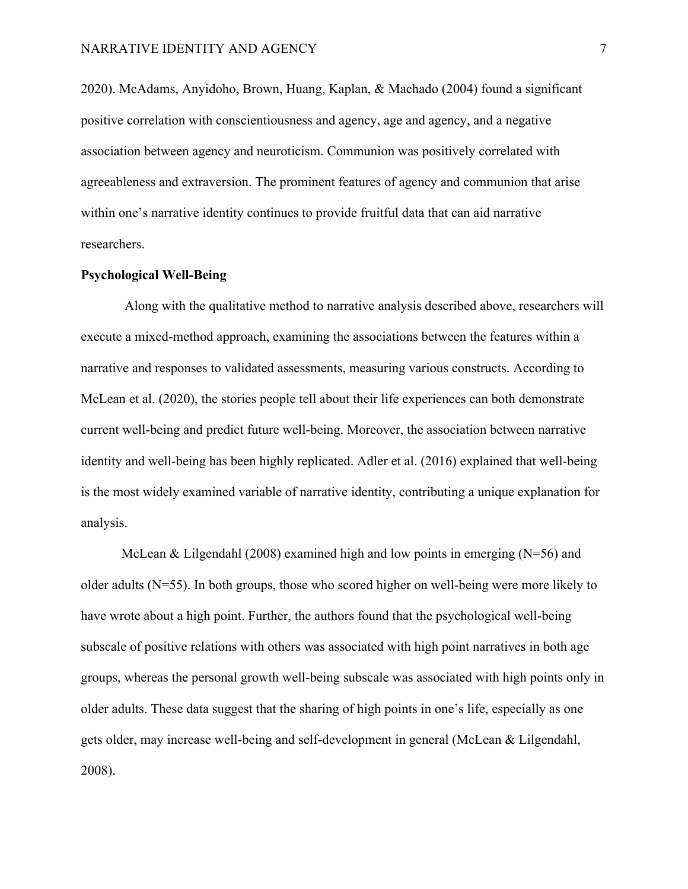2020). McAdams, Anyidoho, Brown, Huang, Kaplan, & Machado (2004) found a significant positive correlation with conscientiousness and agency, age and agency, and a negative association between agency and neuroticism. Communion was positively correlated with agreeableness and extraversion. The prominent features of agency and communion that arise within one's narrative identity continues to provide fruitful data that can aid narrative researchers.

## **Psychological Well-Being**

Along with the qualitative method to narrative analysis described above, researchers will execute a mixed-method approach, examining the associations between the features within a narrative and responses to validated assessments, measuring various constructs. According to McLean et al. (2020), the stories people tell about their life experiences can both demonstrate current well-being and predict future well-being. Moreover, the association between narrative identity and well-being has been highly replicated. Adler et al. (2016) explained that well-being is the most widely examined variable of narrative identity, contributing a unique explanation for analysis.

McLean & Lilgendahl (2008) examined high and low points in emerging  $(N=56)$  and older adults (N=55). In both groups, those who scored higher on well-being were more likely to have wrote about a high point. Further, the authors found that the psychological well-being subscale of positive relations with others was associated with high point narratives in both age groups, whereas the personal growth well-being subscale was associated with high points only in older adults. These data suggest that the sharing of high points in one's life, especially as one gets older, may increase well-being and self-development in general (McLean & Lilgendahl, 2008).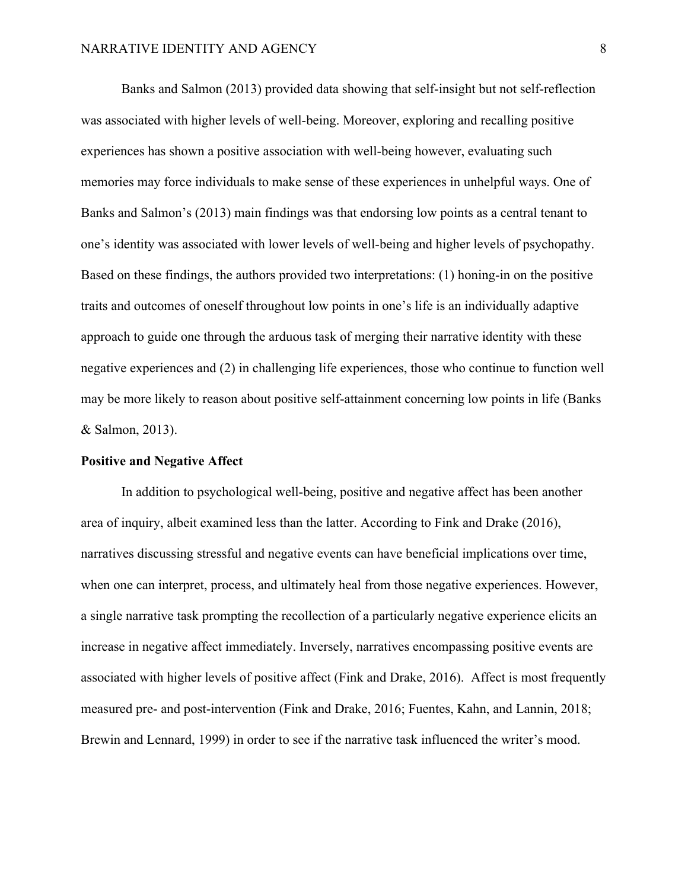Banks and Salmon (2013) provided data showing that self-insight but not self-reflection was associated with higher levels of well-being. Moreover, exploring and recalling positive experiences has shown a positive association with well-being however, evaluating such memories may force individuals to make sense of these experiences in unhelpful ways. One of Banks and Salmon's (2013) main findings was that endorsing low points as a central tenant to one's identity was associated with lower levels of well-being and higher levels of psychopathy. Based on these findings, the authors provided two interpretations: (1) honing-in on the positive traits and outcomes of oneself throughout low points in one's life is an individually adaptive approach to guide one through the arduous task of merging their narrative identity with these negative experiences and (2) in challenging life experiences, those who continue to function well may be more likely to reason about positive self-attainment concerning low points in life (Banks & Salmon, 2013).

#### **Positive and Negative Affect**

In addition to psychological well-being, positive and negative affect has been another area of inquiry, albeit examined less than the latter. According to Fink and Drake (2016), narratives discussing stressful and negative events can have beneficial implications over time, when one can interpret, process, and ultimately heal from those negative experiences. However, a single narrative task prompting the recollection of a particularly negative experience elicits an increase in negative affect immediately. Inversely, narratives encompassing positive events are associated with higher levels of positive affect (Fink and Drake, 2016). Affect is most frequently measured pre- and post-intervention (Fink and Drake, 2016; Fuentes, Kahn, and Lannin, 2018; Brewin and Lennard, 1999) in order to see if the narrative task influenced the writer's mood.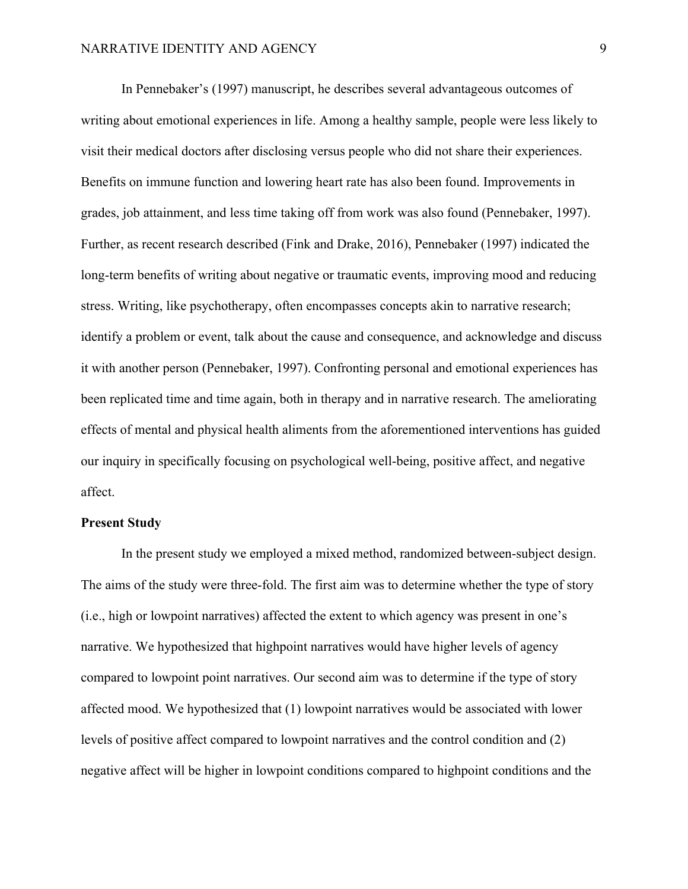In Pennebaker's (1997) manuscript, he describes several advantageous outcomes of writing about emotional experiences in life. Among a healthy sample, people were less likely to visit their medical doctors after disclosing versus people who did not share their experiences. Benefits on immune function and lowering heart rate has also been found. Improvements in grades, job attainment, and less time taking off from work was also found (Pennebaker, 1997). Further, as recent research described (Fink and Drake, 2016), Pennebaker (1997) indicated the long-term benefits of writing about negative or traumatic events, improving mood and reducing stress. Writing, like psychotherapy, often encompasses concepts akin to narrative research; identify a problem or event, talk about the cause and consequence, and acknowledge and discuss it with another person (Pennebaker, 1997). Confronting personal and emotional experiences has been replicated time and time again, both in therapy and in narrative research. The ameliorating effects of mental and physical health aliments from the aforementioned interventions has guided our inquiry in specifically focusing on psychological well-being, positive affect, and negative affect.

# **Present Study**

In the present study we employed a mixed method, randomized between-subject design. The aims of the study were three-fold. The first aim was to determine whether the type of story (i.e., high or lowpoint narratives) affected the extent to which agency was present in one's narrative. We hypothesized that highpoint narratives would have higher levels of agency compared to lowpoint point narratives. Our second aim was to determine if the type of story affected mood. We hypothesized that (1) lowpoint narratives would be associated with lower levels of positive affect compared to lowpoint narratives and the control condition and (2) negative affect will be higher in lowpoint conditions compared to highpoint conditions and the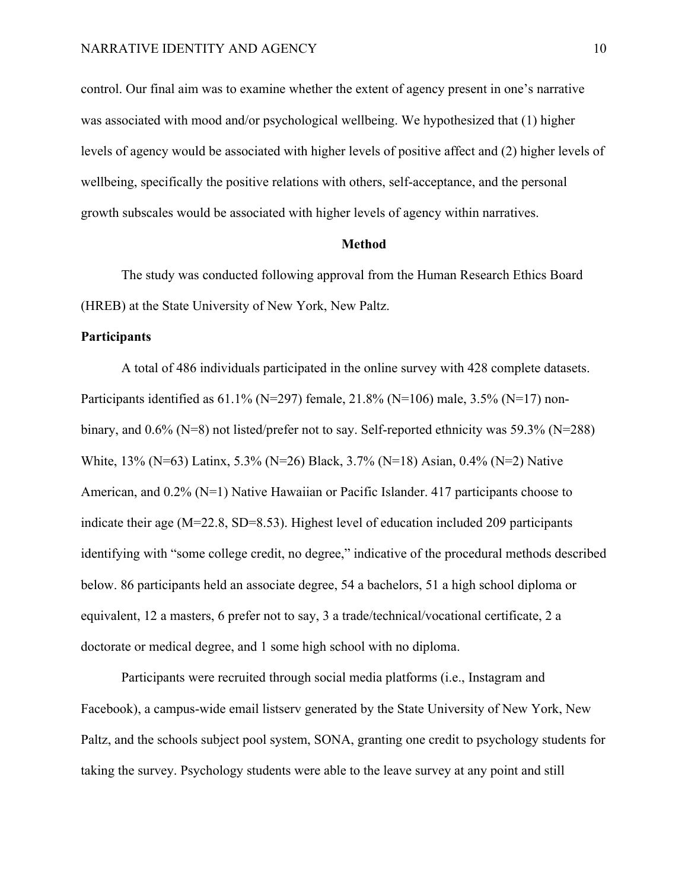control. Our final aim was to examine whether the extent of agency present in one's narrative was associated with mood and/or psychological wellbeing. We hypothesized that (1) higher levels of agency would be associated with higher levels of positive affect and (2) higher levels of wellbeing, specifically the positive relations with others, self-acceptance, and the personal growth subscales would be associated with higher levels of agency within narratives.

#### **Method**

The study was conducted following approval from the Human Research Ethics Board (HREB) at the State University of New York, New Paltz.

#### **Participants**

A total of 486 individuals participated in the online survey with 428 complete datasets. Participants identified as  $61.1\%$  (N=297) female,  $21.8\%$  (N=106) male,  $3.5\%$  (N=17) nonbinary, and 0.6% (N=8) not listed/prefer not to say. Self-reported ethnicity was 59.3% (N=288) White, 13% (N=63) Latinx, 5.3% (N=26) Black, 3.7% (N=18) Asian, 0.4% (N=2) Native American, and 0.2% (N=1) Native Hawaiian or Pacific Islander. 417 participants choose to indicate their age (M=22.8, SD=8.53). Highest level of education included 209 participants identifying with "some college credit, no degree," indicative of the procedural methods described below. 86 participants held an associate degree, 54 a bachelors, 51 a high school diploma or equivalent, 12 a masters, 6 prefer not to say, 3 a trade/technical/vocational certificate, 2 a doctorate or medical degree, and 1 some high school with no diploma.

Participants were recruited through social media platforms (i.e., Instagram and Facebook), a campus-wide email listserv generated by the State University of New York, New Paltz, and the schools subject pool system, SONA, granting one credit to psychology students for taking the survey. Psychology students were able to the leave survey at any point and still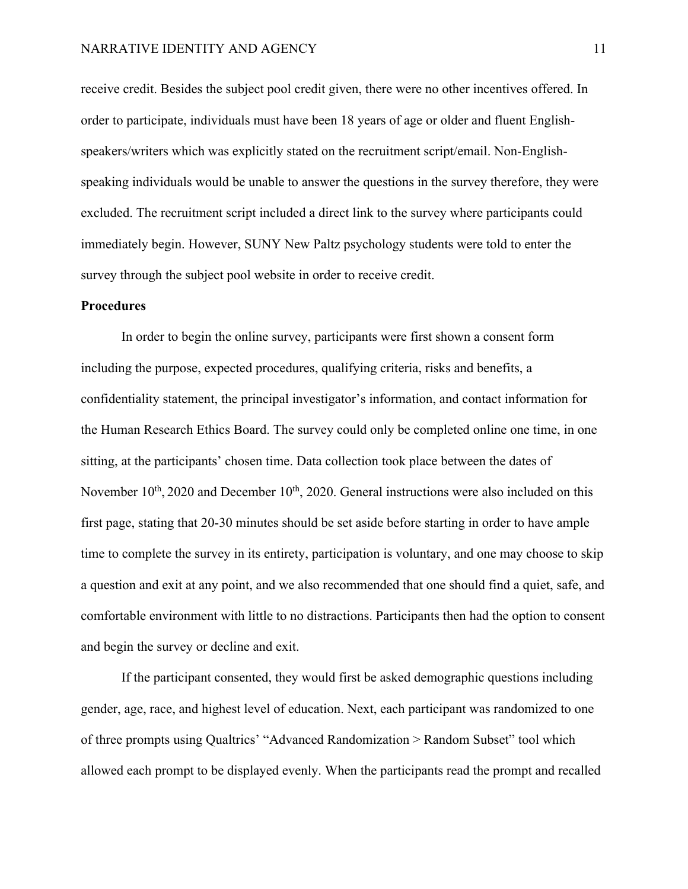## NARRATIVE IDENTITY AND AGENCY 11

receive credit. Besides the subject pool credit given, there were no other incentives offered. In order to participate, individuals must have been 18 years of age or older and fluent Englishspeakers/writers which was explicitly stated on the recruitment script/email. Non-Englishspeaking individuals would be unable to answer the questions in the survey therefore, they were excluded. The recruitment script included a direct link to the survey where participants could immediately begin. However, SUNY New Paltz psychology students were told to enter the survey through the subject pool website in order to receive credit.

#### **Procedures**

In order to begin the online survey, participants were first shown a consent form including the purpose, expected procedures, qualifying criteria, risks and benefits, a confidentiality statement, the principal investigator's information, and contact information for the Human Research Ethics Board. The survey could only be completed online one time, in one sitting, at the participants' chosen time. Data collection took place between the dates of November  $10<sup>th</sup>$ , 2020 and December  $10<sup>th</sup>$ , 2020. General instructions were also included on this first page, stating that 20-30 minutes should be set aside before starting in order to have ample time to complete the survey in its entirety, participation is voluntary, and one may choose to skip a question and exit at any point, and we also recommended that one should find a quiet, safe, and comfortable environment with little to no distractions. Participants then had the option to consent and begin the survey or decline and exit.

If the participant consented, they would first be asked demographic questions including gender, age, race, and highest level of education. Next, each participant was randomized to one of three prompts using Qualtrics' "Advanced Randomization > Random Subset" tool which allowed each prompt to be displayed evenly. When the participants read the prompt and recalled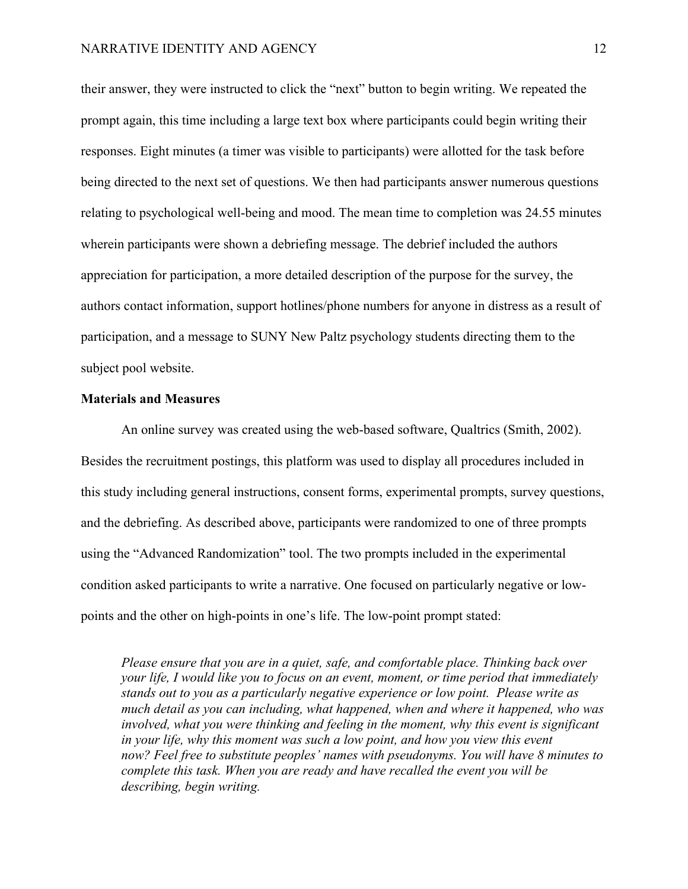their answer, they were instructed to click the "next" button to begin writing. We repeated the prompt again, this time including a large text box where participants could begin writing their responses. Eight minutes (a timer was visible to participants) were allotted for the task before being directed to the next set of questions. We then had participants answer numerous questions relating to psychological well-being and mood. The mean time to completion was 24.55 minutes wherein participants were shown a debriefing message. The debrief included the authors appreciation for participation, a more detailed description of the purpose for the survey, the authors contact information, support hotlines/phone numbers for anyone in distress as a result of participation, and a message to SUNY New Paltz psychology students directing them to the subject pool website.

### **Materials and Measures**

An online survey was created using the web-based software, Qualtrics (Smith, 2002). Besides the recruitment postings, this platform was used to display all procedures included in this study including general instructions, consent forms, experimental prompts, survey questions, and the debriefing. As described above, participants were randomized to one of three prompts using the "Advanced Randomization" tool. The two prompts included in the experimental condition asked participants to write a narrative. One focused on particularly negative or lowpoints and the other on high-points in one's life. The low-point prompt stated:

*Please ensure that you are in a quiet, safe, and comfortable place. Thinking back over your life, I would like you to focus on an event, moment, or time period that immediately stands out to you as a particularly negative experience or low point. Please write as much detail as you can including, what happened, when and where it happened, who was involved, what you were thinking and feeling in the moment, why this event is significant in your life, why this moment was such a low point, and how you view this event now? Feel free to substitute peoples' names with pseudonyms. You will have 8 minutes to complete this task. When you are ready and have recalled the event you will be describing, begin writing.*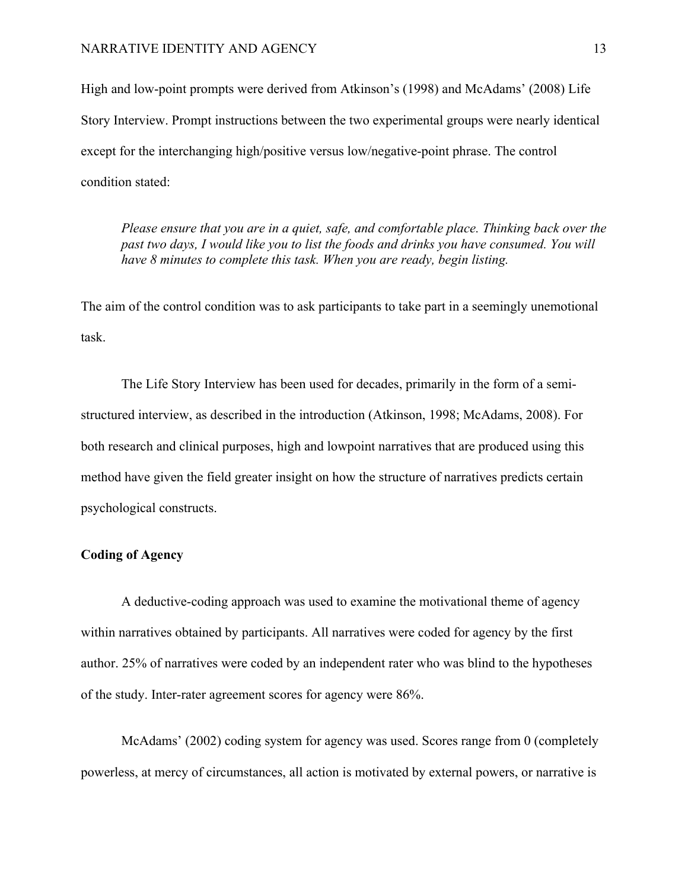## NARRATIVE IDENTITY AND AGENCY 13

High and low-point prompts were derived from Atkinson's (1998) and McAdams' (2008) Life Story Interview. Prompt instructions between the two experimental groups were nearly identical except for the interchanging high/positive versus low/negative-point phrase. The control condition stated:

*Please ensure that you are in a quiet, safe, and comfortable place. Thinking back over the past two days, I would like you to list the foods and drinks you have consumed. You will have 8 minutes to complete this task. When you are ready, begin listing.*

The aim of the control condition was to ask participants to take part in a seemingly unemotional task.

The Life Story Interview has been used for decades, primarily in the form of a semistructured interview, as described in the introduction (Atkinson, 1998; McAdams, 2008). For both research and clinical purposes, high and lowpoint narratives that are produced using this method have given the field greater insight on how the structure of narratives predicts certain psychological constructs.

# **Coding of Agency**

A deductive-coding approach was used to examine the motivational theme of agency within narratives obtained by participants. All narratives were coded for agency by the first author. 25% of narratives were coded by an independent rater who was blind to the hypotheses of the study. Inter-rater agreement scores for agency were 86%.

McAdams' (2002) coding system for agency was used. Scores range from 0 (completely powerless, at mercy of circumstances, all action is motivated by external powers, or narrative is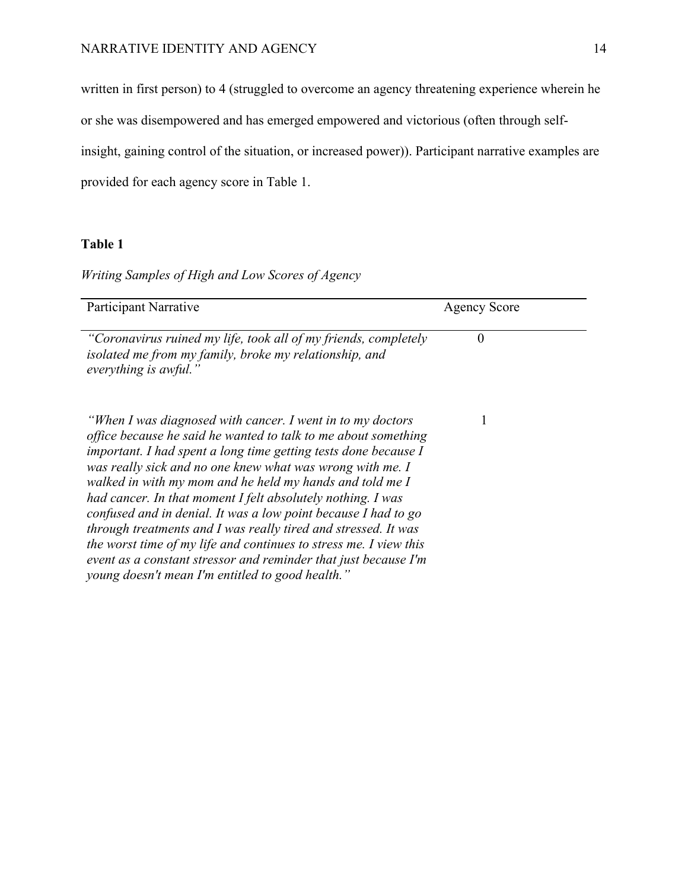written in first person) to 4 (struggled to overcome an agency threatening experience wherein he or she was disempowered and has emerged empowered and victorious (often through selfinsight, gaining control of the situation, or increased power)). Participant narrative examples are provided for each agency score in Table 1.

# **Table 1**

*Writing Samples of High and Low Scores of Agency* 

| Participant Narrative                                                                                                                                                                                                                                                                                                                                                                                                                                                                                                                                                                                                                                                                                                    | <b>Agency Score</b> |  |
|--------------------------------------------------------------------------------------------------------------------------------------------------------------------------------------------------------------------------------------------------------------------------------------------------------------------------------------------------------------------------------------------------------------------------------------------------------------------------------------------------------------------------------------------------------------------------------------------------------------------------------------------------------------------------------------------------------------------------|---------------------|--|
| "Coronavirus ruined my life, took all of my friends, completely<br>isolated me from my family, broke my relationship, and<br>everything is awful."                                                                                                                                                                                                                                                                                                                                                                                                                                                                                                                                                                       | $\theta$            |  |
| "When I was diagnosed with cancer. I went in to my doctors"<br>office because he said he wanted to talk to me about something<br>important. I had spent a long time getting tests done because I<br>was really sick and no one knew what was wrong with me. I<br>walked in with my mom and he held my hands and told me I<br>had cancer. In that moment I felt absolutely nothing. I was<br>confused and in denial. It was a low point because I had to go<br>through treatments and I was really tired and stressed. It was<br>the worst time of my life and continues to stress me. I view this<br>event as a constant stressor and reminder that just because I'm<br>young doesn't mean I'm entitled to good health." |                     |  |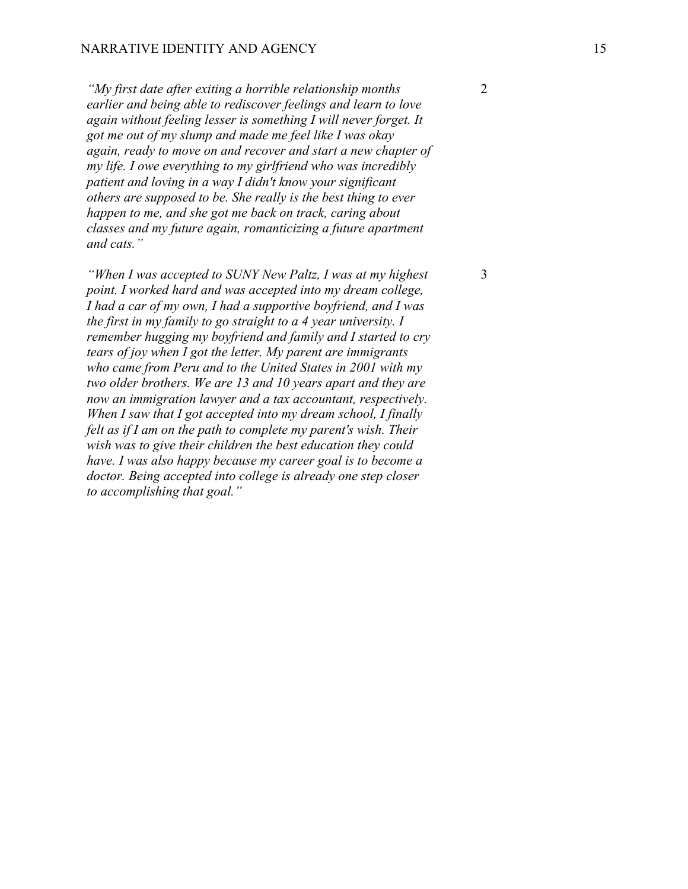*"My first date after exiting a horrible relationship months earlier and being able to rediscover feelings and learn to love again without feeling lesser is something I will never forget. It got me out of my slump and made me feel like I was okay again, ready to move on and recover and start a new chapter of my life. I owe everything to my girlfriend who was incredibly patient and loving in a way I didn't know your significant others are supposed to be. She really is the best thing to ever happen to me, and she got me back on track, caring about classes and my future again, romanticizing a future apartment and cats."*

*"When I was accepted to SUNY New Paltz, I was at my highest point. I worked hard and was accepted into my dream college, I had a car of my own, I had a supportive boyfriend, and I was the first in my family to go straight to a 4 year university. I remember hugging my boyfriend and family and I started to cry tears of joy when I got the letter. My parent are immigrants who came from Peru and to the United States in 2001 with my two older brothers. We are 13 and 10 years apart and they are now an immigration lawyer and a tax accountant, respectively. When I saw that I got accepted into my dream school, I finally felt as if I am on the path to complete my parent's wish. Their wish was to give their children the best education they could have. I was also happy because my career goal is to become a doctor. Being accepted into college is already one step closer to accomplishing that goal."*

3

2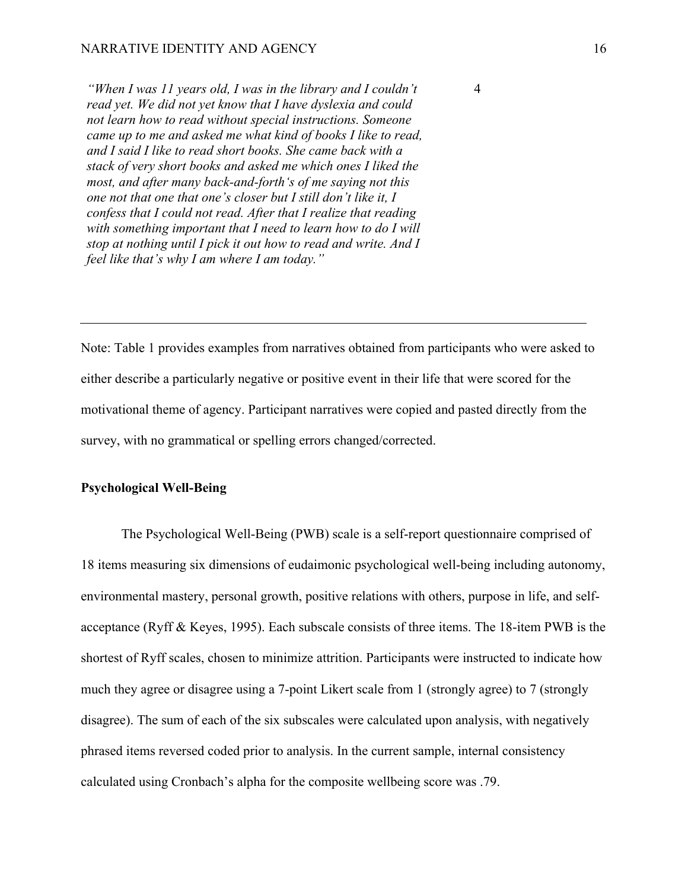*"When I was 11 years old, I was in the library and I couldn't read yet. We did not yet know that I have dyslexia and could not learn how to read without special instructions. Someone came up to me and asked me what kind of books I like to read, and I said I like to read short books. She came back with a stack of very short books and asked me which ones I liked the most, and after many back-and-forth's of me saying not this one not that one that one's closer but I still don't like it, I confess that I could not read. After that I realize that reading with something important that I need to learn how to do I will stop at nothing until I pick it out how to read and write. And I feel like that's why I am where I am today."*

Note: Table 1 provides examples from narratives obtained from participants who were asked to either describe a particularly negative or positive event in their life that were scored for the motivational theme of agency. Participant narratives were copied and pasted directly from the survey, with no grammatical or spelling errors changed/corrected.

# **Psychological Well-Being**

The Psychological Well-Being (PWB) scale is a self-report questionnaire comprised of 18 items measuring six dimensions of eudaimonic psychological well-being including autonomy, environmental mastery, personal growth, positive relations with others, purpose in life, and selfacceptance (Ryff & Keyes, 1995). Each subscale consists of three items. The 18-item PWB is the shortest of Ryff scales, chosen to minimize attrition. Participants were instructed to indicate how much they agree or disagree using a 7-point Likert scale from 1 (strongly agree) to 7 (strongly disagree). The sum of each of the six subscales were calculated upon analysis, with negatively phrased items reversed coded prior to analysis. In the current sample, internal consistency calculated using Cronbach's alpha for the composite wellbeing score was .79.

4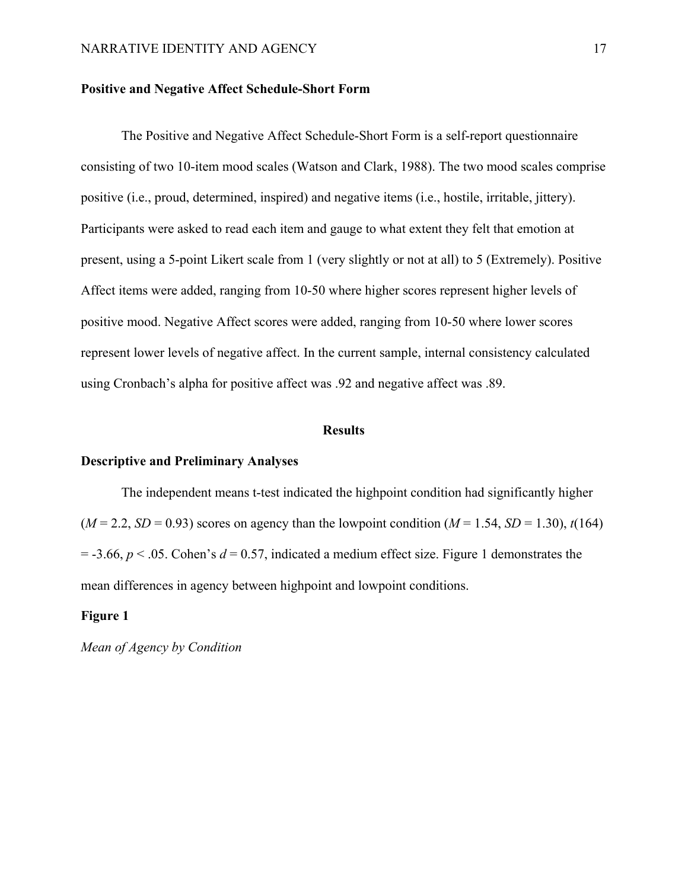#### **Positive and Negative Affect Schedule-Short Form**

The Positive and Negative Affect Schedule-Short Form is a self-report questionnaire consisting of two 10-item mood scales (Watson and Clark, 1988). The two mood scales comprise positive (i.e., proud, determined, inspired) and negative items (i.e., hostile, irritable, jittery). Participants were asked to read each item and gauge to what extent they felt that emotion at present, using a 5-point Likert scale from 1 (very slightly or not at all) to 5 (Extremely). Positive Affect items were added, ranging from 10-50 where higher scores represent higher levels of positive mood. Negative Affect scores were added, ranging from 10-50 where lower scores represent lower levels of negative affect. In the current sample, internal consistency calculated using Cronbach's alpha for positive affect was .92 and negative affect was .89.

#### **Results**

#### **Descriptive and Preliminary Analyses**

The independent means t-test indicated the highpoint condition had significantly higher  $(M = 2.2, SD = 0.93)$  scores on agency than the lowpoint condition  $(M = 1.54, SD = 1.30)$ ,  $t(164)$  $=$  -3.66,  $p \le 0.05$ . Cohen's  $d = 0.57$ , indicated a medium effect size. Figure 1 demonstrates the mean differences in agency between highpoint and lowpoint conditions.

#### **Figure 1**

*Mean of Agency by Condition*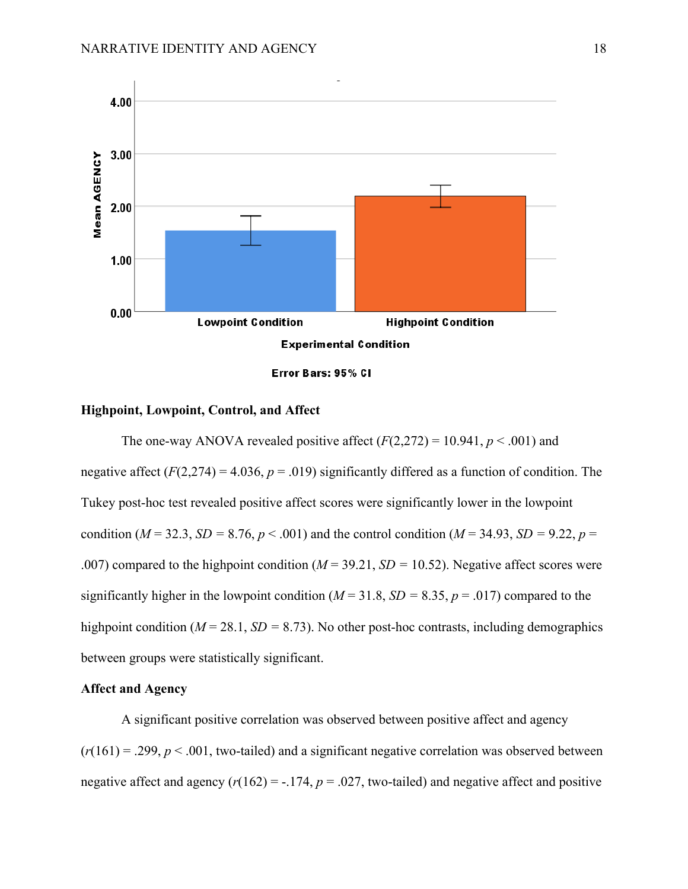

#### **Highpoint, Lowpoint, Control, and Affect**

The one-way ANOVA revealed positive affect  $(F(2,272) = 10.941, p < .001)$  and negative affect  $(F(2,274) = 4.036, p = .019)$  significantly differed as a function of condition. The Tukey post-hoc test revealed positive affect scores were significantly lower in the lowpoint condition ( $M = 32.3$ ,  $SD = 8.76$ ,  $p < .001$ ) and the control condition ( $M = 34.93$ ,  $SD = 9.22$ ,  $p =$ .007) compared to the highpoint condition (*M* = 39.21, *SD =* 10.52). Negative affect scores were significantly higher in the lowpoint condition ( $M = 31.8$ ,  $SD = 8.35$ ,  $p = .017$ ) compared to the highpoint condition (*M* = 28.1, *SD* = 8.73). No other post-hoc contrasts, including demographics between groups were statistically significant.

# **Affect and Agency**

A significant positive correlation was observed between positive affect and agency  $(r(161) = .299, p < .001$ , two-tailed) and a significant negative correlation was observed between negative affect and agency  $(r(162) = -.174, p = .027,$  two-tailed) and negative affect and positive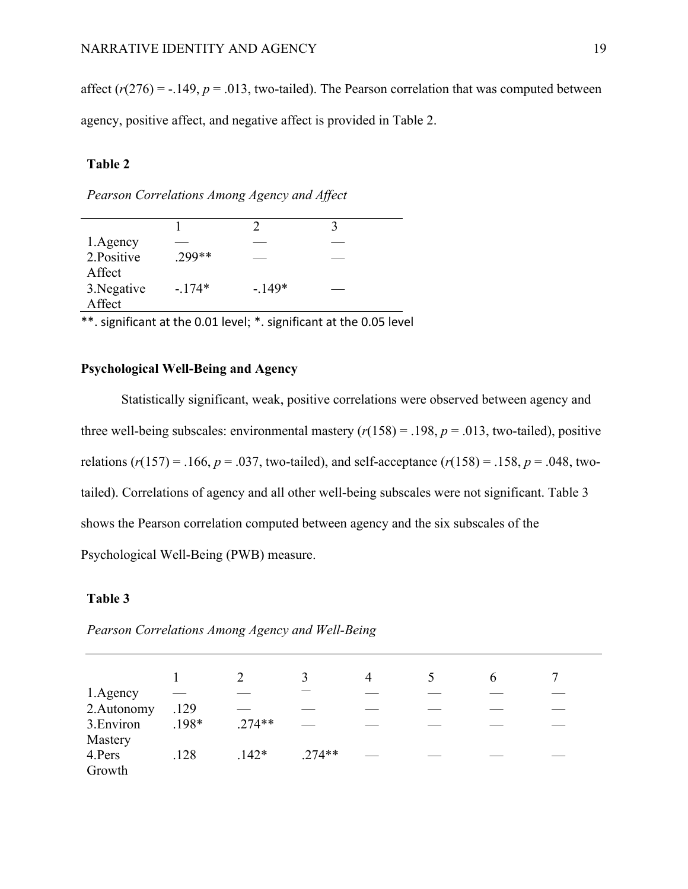affect  $(r(276) = -.149, p = .013$ , two-tailed). The Pearson correlation that was computed between agency, positive affect, and negative affect is provided in Table 2.

# **Table 2**

*Pearson Correlations Among Agency and Affect*

|             |          |          | 3 |
|-------------|----------|----------|---|
| 1. Agency   |          |          |   |
| 2.Positive  | $.299**$ |          |   |
| Affect      |          |          |   |
| 3. Negative | $-.174*$ | $-.149*$ |   |
| Affect      |          |          |   |
|             |          |          |   |

\*\*. significant at the 0.01 level; \*. significant at the 0.05 level

# **Psychological Well-Being and Agency**

Statistically significant, weak, positive correlations were observed between agency and three well-being subscales: environmental mastery  $(r(158) = .198, p = .013$ , two-tailed), positive relations ( $r(157) = .166$ ,  $p = .037$ , two-tailed), and self-acceptance ( $r(158) = .158$ ,  $p = .048$ , twotailed). Correlations of agency and all other well-being subscales were not significant. Table 3 shows the Pearson correlation computed between agency and the six subscales of the Psychological Well-Being (PWB) measure.

## **Table 3**

*Pearson Correlations Among Agency and Well-Being* 

| 1.Agency                    |         |          |          |  |  |
|-----------------------------|---------|----------|----------|--|--|
| 2.Autonomy                  | .129    |          |          |  |  |
| 3. Environ                  | $.198*$ | $.274**$ |          |  |  |
| Mastery<br>4.Pers<br>Growth | .128    | $.142*$  | $.274**$ |  |  |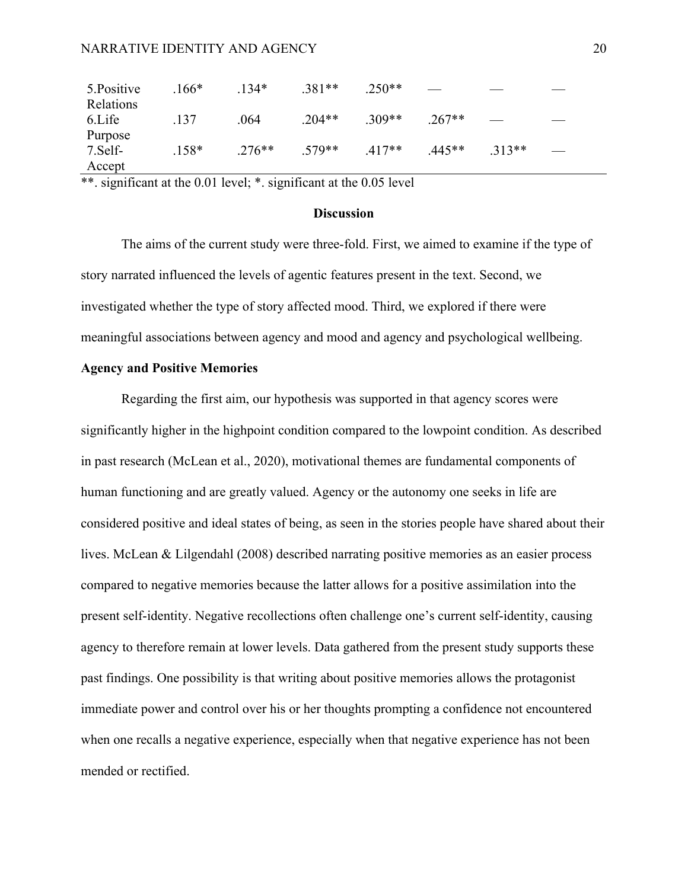## NARRATIVE IDENTITY AND AGENCY 20

| 5. Positive | $.166*$ | $134*$   | $.381**$ | $.250**$ |          |          |  |
|-------------|---------|----------|----------|----------|----------|----------|--|
| Relations   |         |          |          |          |          |          |  |
| 6.Life      | .137    | .064     | $.204**$ | $.309**$ | $.267**$ |          |  |
| Purpose     |         |          |          |          |          |          |  |
| 7.Self-     | $.158*$ | $.276**$ | $.579**$ | $.417**$ | .445**   | $.313**$ |  |
| Accept      |         |          |          |          |          |          |  |

\*\*. significant at the 0.01 level; \*. significant at the 0.05 level

#### **Discussion**

The aims of the current study were three-fold. First, we aimed to examine if the type of story narrated influenced the levels of agentic features present in the text. Second, we investigated whether the type of story affected mood. Third, we explored if there were meaningful associations between agency and mood and agency and psychological wellbeing.

#### **Agency and Positive Memories**

Regarding the first aim, our hypothesis was supported in that agency scores were significantly higher in the highpoint condition compared to the lowpoint condition. As described in past research (McLean et al., 2020), motivational themes are fundamental components of human functioning and are greatly valued. Agency or the autonomy one seeks in life are considered positive and ideal states of being, as seen in the stories people have shared about their lives. McLean & Lilgendahl (2008) described narrating positive memories as an easier process compared to negative memories because the latter allows for a positive assimilation into the present self-identity. Negative recollections often challenge one's current self-identity, causing agency to therefore remain at lower levels. Data gathered from the present study supports these past findings. One possibility is that writing about positive memories allows the protagonist immediate power and control over his or her thoughts prompting a confidence not encountered when one recalls a negative experience, especially when that negative experience has not been mended or rectified.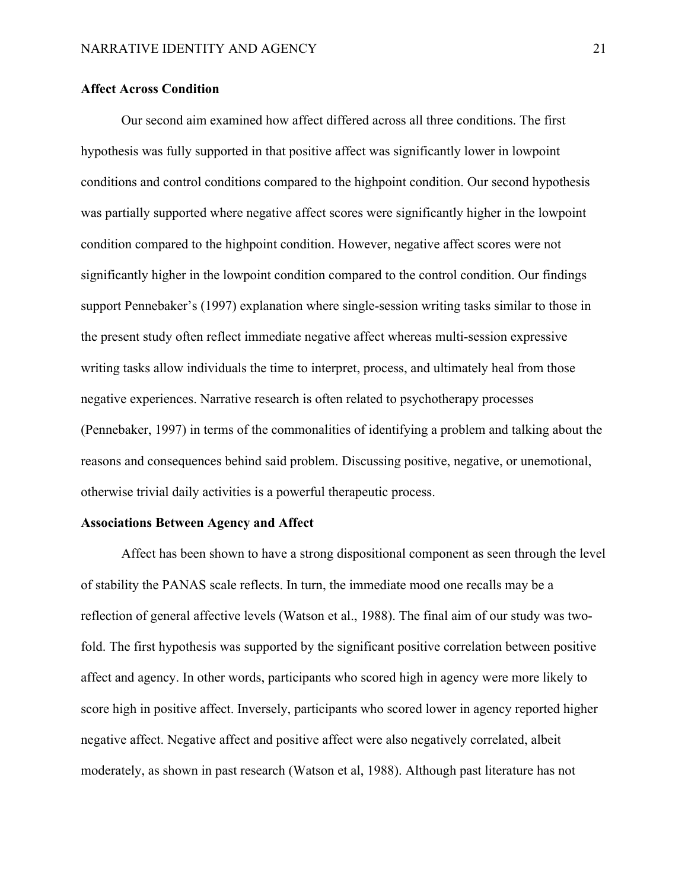# **Affect Across Condition**

Our second aim examined how affect differed across all three conditions. The first hypothesis was fully supported in that positive affect was significantly lower in lowpoint conditions and control conditions compared to the highpoint condition. Our second hypothesis was partially supported where negative affect scores were significantly higher in the lowpoint condition compared to the highpoint condition. However, negative affect scores were not significantly higher in the lowpoint condition compared to the control condition. Our findings support Pennebaker's (1997) explanation where single-session writing tasks similar to those in the present study often reflect immediate negative affect whereas multi-session expressive writing tasks allow individuals the time to interpret, process, and ultimately heal from those negative experiences. Narrative research is often related to psychotherapy processes (Pennebaker, 1997) in terms of the commonalities of identifying a problem and talking about the reasons and consequences behind said problem. Discussing positive, negative, or unemotional, otherwise trivial daily activities is a powerful therapeutic process.

#### **Associations Between Agency and Affect**

Affect has been shown to have a strong dispositional component as seen through the level of stability the PANAS scale reflects. In turn, the immediate mood one recalls may be a reflection of general affective levels (Watson et al., 1988). The final aim of our study was twofold. The first hypothesis was supported by the significant positive correlation between positive affect and agency. In other words, participants who scored high in agency were more likely to score high in positive affect. Inversely, participants who scored lower in agency reported higher negative affect. Negative affect and positive affect were also negatively correlated, albeit moderately, as shown in past research (Watson et al, 1988). Although past literature has not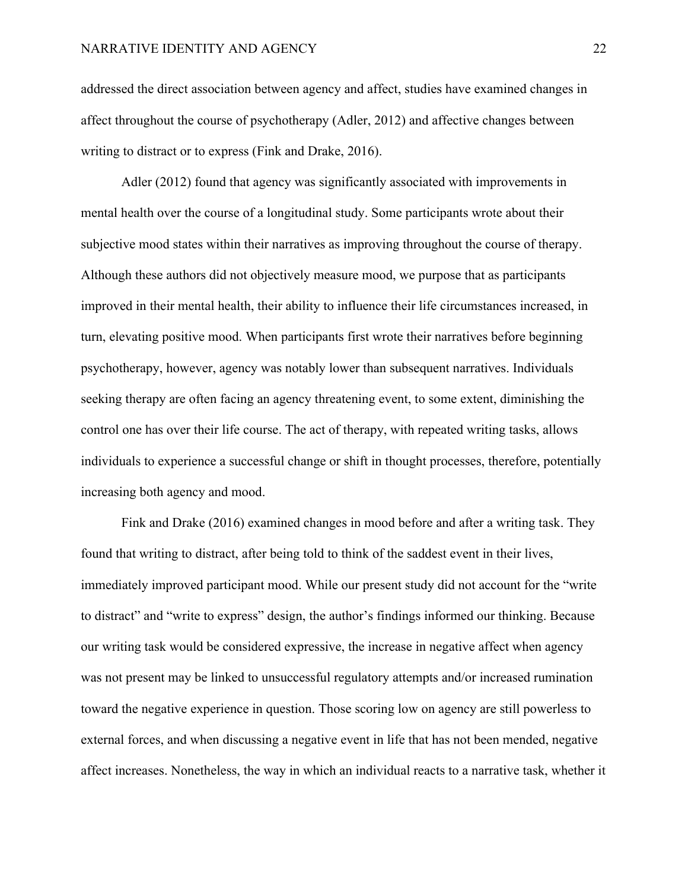addressed the direct association between agency and affect, studies have examined changes in affect throughout the course of psychotherapy (Adler, 2012) and affective changes between writing to distract or to express (Fink and Drake, 2016).

Adler (2012) found that agency was significantly associated with improvements in mental health over the course of a longitudinal study. Some participants wrote about their subjective mood states within their narratives as improving throughout the course of therapy. Although these authors did not objectively measure mood, we purpose that as participants improved in their mental health, their ability to influence their life circumstances increased, in turn, elevating positive mood. When participants first wrote their narratives before beginning psychotherapy, however, agency was notably lower than subsequent narratives. Individuals seeking therapy are often facing an agency threatening event, to some extent, diminishing the control one has over their life course. The act of therapy, with repeated writing tasks, allows individuals to experience a successful change or shift in thought processes, therefore, potentially increasing both agency and mood.

Fink and Drake (2016) examined changes in mood before and after a writing task. They found that writing to distract, after being told to think of the saddest event in their lives, immediately improved participant mood. While our present study did not account for the "write to distract" and "write to express" design, the author's findings informed our thinking. Because our writing task would be considered expressive, the increase in negative affect when agency was not present may be linked to unsuccessful regulatory attempts and/or increased rumination toward the negative experience in question. Those scoring low on agency are still powerless to external forces, and when discussing a negative event in life that has not been mended, negative affect increases. Nonetheless, the way in which an individual reacts to a narrative task, whether it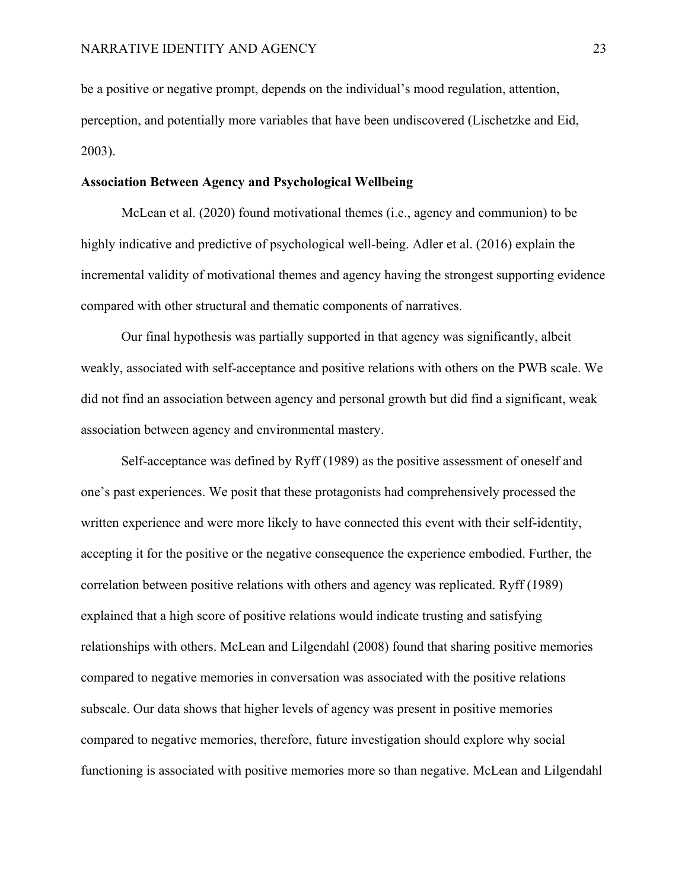be a positive or negative prompt, depends on the individual's mood regulation, attention, perception, and potentially more variables that have been undiscovered (Lischetzke and Eid, 2003).

#### **Association Between Agency and Psychological Wellbeing**

McLean et al. (2020) found motivational themes (i.e., agency and communion) to be highly indicative and predictive of psychological well-being. Adler et al. (2016) explain the incremental validity of motivational themes and agency having the strongest supporting evidence compared with other structural and thematic components of narratives.

Our final hypothesis was partially supported in that agency was significantly, albeit weakly, associated with self-acceptance and positive relations with others on the PWB scale. We did not find an association between agency and personal growth but did find a significant, weak association between agency and environmental mastery.

Self-acceptance was defined by Ryff (1989) as the positive assessment of oneself and one's past experiences. We posit that these protagonists had comprehensively processed the written experience and were more likely to have connected this event with their self-identity, accepting it for the positive or the negative consequence the experience embodied. Further, the correlation between positive relations with others and agency was replicated. Ryff (1989) explained that a high score of positive relations would indicate trusting and satisfying relationships with others. McLean and Lilgendahl (2008) found that sharing positive memories compared to negative memories in conversation was associated with the positive relations subscale. Our data shows that higher levels of agency was present in positive memories compared to negative memories, therefore, future investigation should explore why social functioning is associated with positive memories more so than negative. McLean and Lilgendahl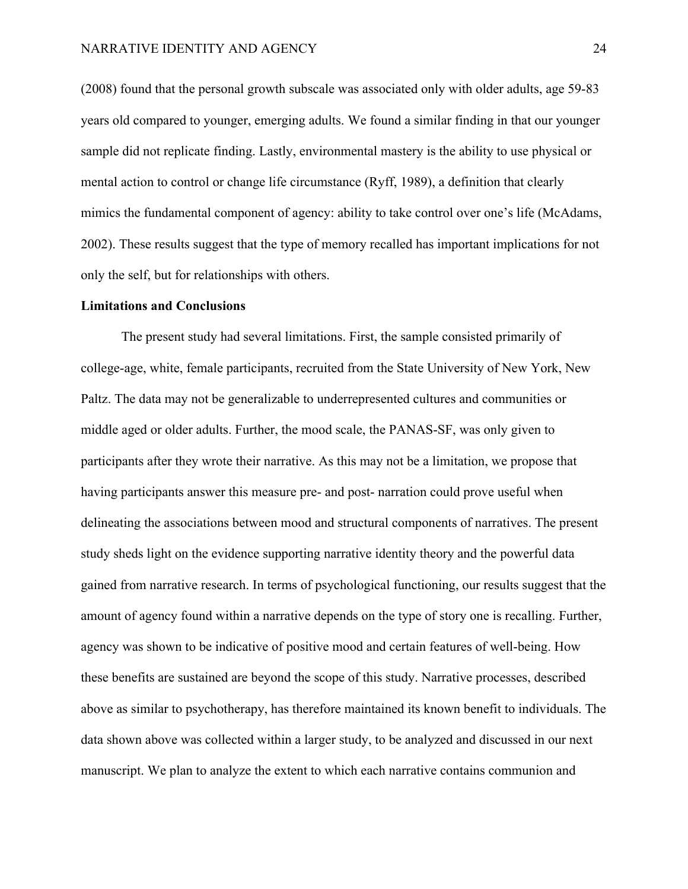(2008) found that the personal growth subscale was associated only with older adults, age 59-83 years old compared to younger, emerging adults. We found a similar finding in that our younger sample did not replicate finding. Lastly, environmental mastery is the ability to use physical or mental action to control or change life circumstance (Ryff, 1989), a definition that clearly mimics the fundamental component of agency: ability to take control over one's life (McAdams, 2002). These results suggest that the type of memory recalled has important implications for not only the self, but for relationships with others.

#### **Limitations and Conclusions**

The present study had several limitations. First, the sample consisted primarily of college-age, white, female participants, recruited from the State University of New York, New Paltz. The data may not be generalizable to underrepresented cultures and communities or middle aged or older adults. Further, the mood scale, the PANAS-SF, was only given to participants after they wrote their narrative. As this may not be a limitation, we propose that having participants answer this measure pre- and post- narration could prove useful when delineating the associations between mood and structural components of narratives. The present study sheds light on the evidence supporting narrative identity theory and the powerful data gained from narrative research. In terms of psychological functioning, our results suggest that the amount of agency found within a narrative depends on the type of story one is recalling. Further, agency was shown to be indicative of positive mood and certain features of well-being. How these benefits are sustained are beyond the scope of this study. Narrative processes, described above as similar to psychotherapy, has therefore maintained its known benefit to individuals. The data shown above was collected within a larger study, to be analyzed and discussed in our next manuscript. We plan to analyze the extent to which each narrative contains communion and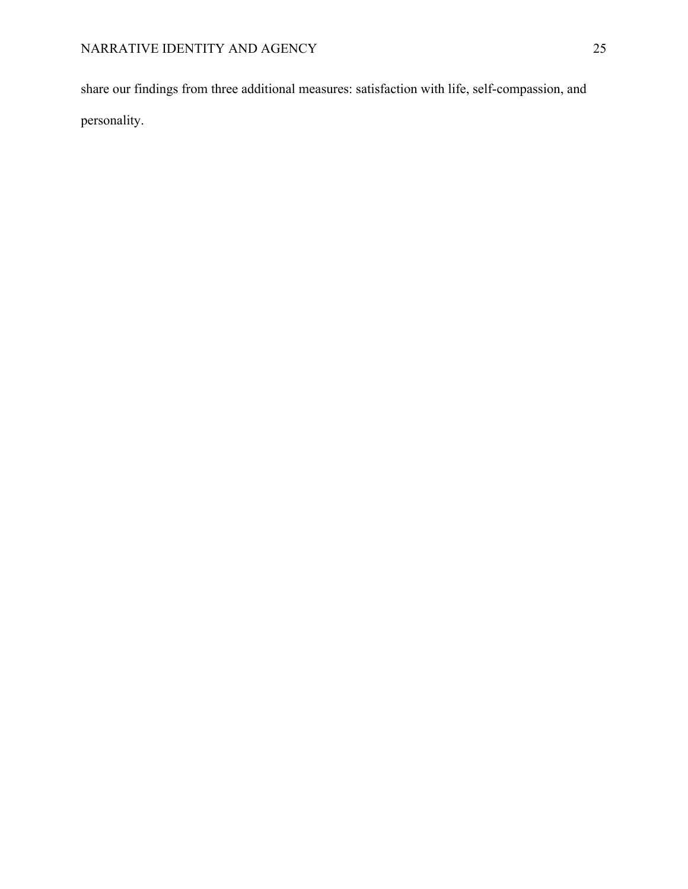share our findings from three additional measures: satisfaction with life, self-compassion, and personality.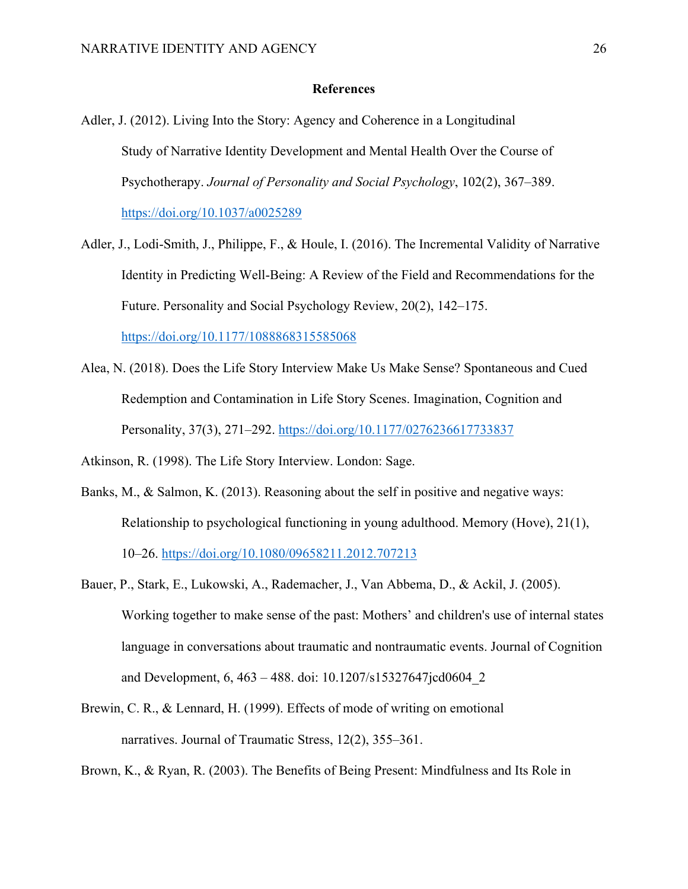## **References**

- Adler, J. (2012). Living Into the Story: Agency and Coherence in a Longitudinal Study of Narrative Identity Development and Mental Health Over the Course of Psychotherapy. *Journal of Personality and Social Psychology*, 102(2), 367–389. https://doi.org/10.1037/a0025289
- Adler, J., Lodi-Smith, J., Philippe, F., & Houle, I. (2016). The Incremental Validity of Narrative Identity in Predicting Well-Being: A Review of the Field and Recommendations for the Future. Personality and Social Psychology Review, 20(2), 142–175.

https://doi.org/10.1177/1088868315585068

Alea, N. (2018). Does the Life Story Interview Make Us Make Sense? Spontaneous and Cued Redemption and Contamination in Life Story Scenes. Imagination, Cognition and Personality, 37(3), 271–292. https://doi.org/10.1177/0276236617733837

Atkinson, R. (1998). The Life Story Interview. London: Sage.

- Banks, M., & Salmon, K. (2013). Reasoning about the self in positive and negative ways: Relationship to psychological functioning in young adulthood. Memory (Hove), 21(1), 10–26. https://doi.org/10.1080/09658211.2012.707213
- Bauer, P., Stark, E., Lukowski, A., Rademacher, J., Van Abbema, D., & Ackil, J. (2005). Working together to make sense of the past: Mothers' and children's use of internal states language in conversations about traumatic and nontraumatic events. Journal of Cognition and Development, 6, 463 – 488. doi: 10.1207/s15327647jcd0604\_2
- Brewin, C. R., & Lennard, H. (1999). Effects of mode of writing on emotional narratives. Journal of Traumatic Stress, 12(2), 355–361.

Brown, K., & Ryan, R. (2003). The Benefits of Being Present: Mindfulness and Its Role in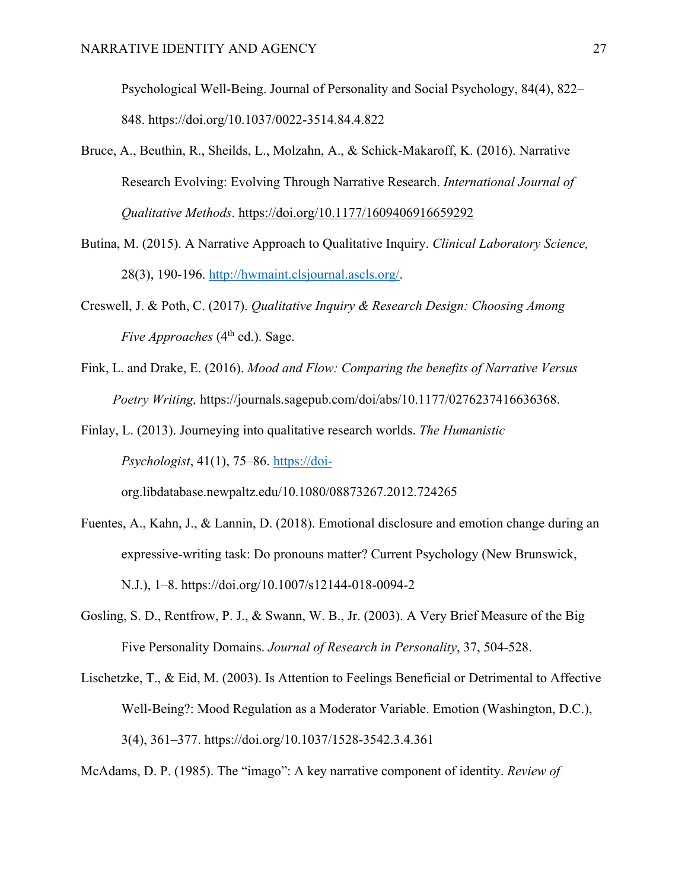Psychological Well-Being. Journal of Personality and Social Psychology, 84(4), 822– 848. https://doi.org/10.1037/0022-3514.84.4.822

- Bruce, A., Beuthin, R., Sheilds, L., Molzahn, A., & Schick-Makaroff, K. (2016). Narrative Research Evolving: Evolving Through Narrative Research. *International Journal of Qualitative Methods*. https://doi.org/10.1177/1609406916659292
- Butina, M. (2015). A Narrative Approach to Qualitative Inquiry. *Clinical Laboratory Science,*  28(3), 190-196. http://hwmaint.clsjournal.ascls.org/.
- Creswell, J. & Poth, C. (2017). *Qualitative Inquiry & Research Design: Choosing Among Five Approaches* (4<sup>th</sup> ed.). Sage.
- Fink, L. and Drake, E. (2016). *Mood and Flow: Comparing the benefits of Narrative Versus Poetry Writing,* https://journals.sagepub.com/doi/abs/10.1177/0276237416636368.
- Finlay, L. (2013). Journeying into qualitative research worlds. *The Humanistic Psychologist*, 41(1), 75–86. https://doi-

org.libdatabase.newpaltz.edu/10.1080/08873267.2012.724265

- Fuentes, A., Kahn, J., & Lannin, D. (2018). Emotional disclosure and emotion change during an expressive-writing task: Do pronouns matter? Current Psychology (New Brunswick, N.J.), 1–8. https://doi.org/10.1007/s12144-018-0094-2
- Gosling, S. D., Rentfrow, P. J., & Swann, W. B., Jr. (2003). A Very Brief Measure of the Big Five Personality Domains. *Journal of Research in Personality*, 37, 504-528.
- Lischetzke, T., & Eid, M. (2003). Is Attention to Feelings Beneficial or Detrimental to Affective Well-Being?: Mood Regulation as a Moderator Variable. Emotion (Washington, D.C.), 3(4), 361–377. https://doi.org/10.1037/1528-3542.3.4.361

McAdams, D. P. (1985). The "imago": A key narrative component of identity. *Review of*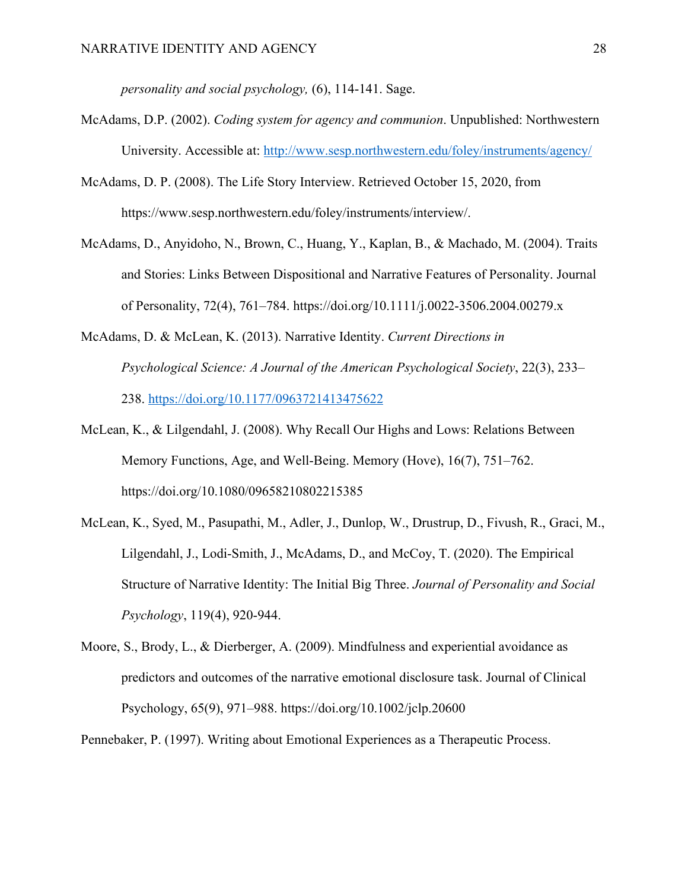*personality and social psychology,* (6), 114-141. Sage.

- McAdams, D.P. (2002). *Coding system for agency and communion*. Unpublished: Northwestern University. Accessible at: http://www.sesp.northwestern.edu/foley/instruments/agency/
- McAdams, D. P. (2008). The Life Story Interview. Retrieved October 15, 2020, from https://www.sesp.northwestern.edu/foley/instruments/interview/.
- McAdams, D., Anyidoho, N., Brown, C., Huang, Y., Kaplan, B., & Machado, M. (2004). Traits and Stories: Links Between Dispositional and Narrative Features of Personality. Journal of Personality, 72(4), 761–784. https://doi.org/10.1111/j.0022-3506.2004.00279.x
- McAdams, D. & McLean, K. (2013). Narrative Identity. *Current Directions in Psychological Science: A Journal of the American Psychological Society*, 22(3), 233– 238. https://doi.org/10.1177/0963721413475622
- McLean, K., & Lilgendahl, J. (2008). Why Recall Our Highs and Lows: Relations Between Memory Functions, Age, and Well-Being. Memory (Hove), 16(7), 751–762. https://doi.org/10.1080/09658210802215385
- McLean, K., Syed, M., Pasupathi, M., Adler, J., Dunlop, W., Drustrup, D., Fivush, R., Graci, M., Lilgendahl, J., Lodi-Smith, J., McAdams, D., and McCoy, T. (2020). The Empirical Structure of Narrative Identity: The Initial Big Three. *Journal of Personality and Social Psychology*, 119(4), 920-944.
- Moore, S., Brody, L., & Dierberger, A. (2009). Mindfulness and experiential avoidance as predictors and outcomes of the narrative emotional disclosure task. Journal of Clinical Psychology, 65(9), 971–988. https://doi.org/10.1002/jclp.20600

Pennebaker, P. (1997). Writing about Emotional Experiences as a Therapeutic Process.